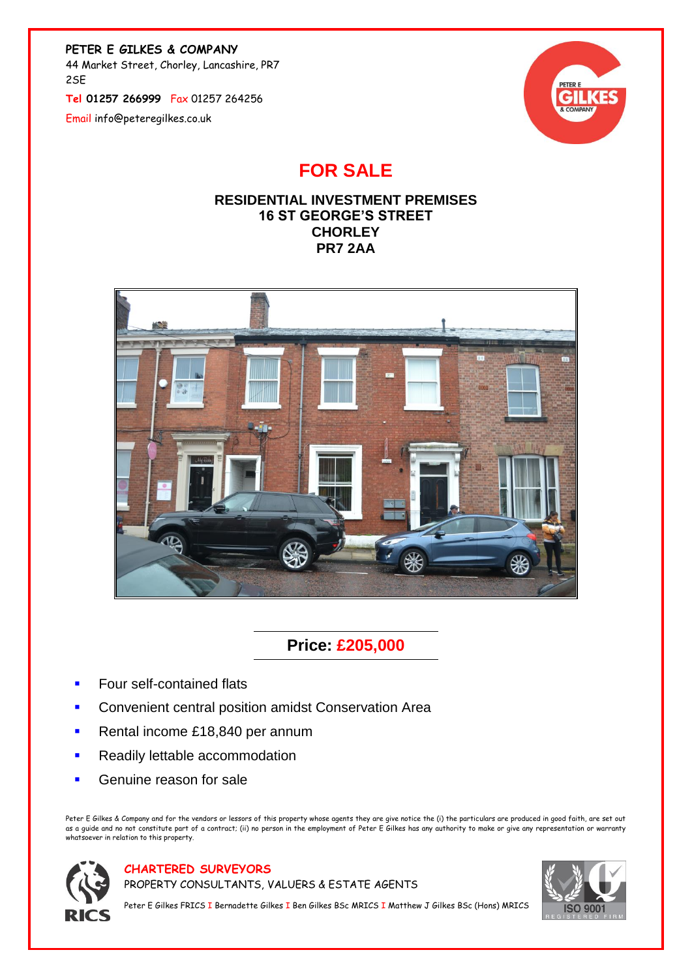**PETER E GILKES & COMPANY**

44 Market Street, Chorley, Lancashire, PR7 2SE

**Tel 01257 266999** Fax 01257 264256

Email info@peteregilkes.co.uk



## **FOR SALE**

## **RESIDENTIAL INVESTMENT PREMISES 16 ST GEORGE'S STREET CHORLEY PR7 2AA**



## **Price: £205,000**

- Four self-contained flats
- Convenient central position amidst Conservation Area
- Rental income £18,840 per annum
- Readily lettable accommodation
- Genuine reason for sale

Peter E Gilkes & Company and for the vendors or lessors of this property whose agents they are give notice the (i) the particulars are produced in good faith, are set out as a guide and no not constitute part of a contract; (ii) no person in the employment of Peter E Gilkes has any authority to make or give any representation or warranty whatsoever in relation to this property.



**CHARTERED SURVEYORS**

PROPERTY CONSULTANTS, VALUERS & ESTATE AGENTS



Peter E Gilkes FRICS I Bernadette Gilkes I Ben Gilkes BSc MRICS I Matthew J Gilkes BSc (Hons) MRICS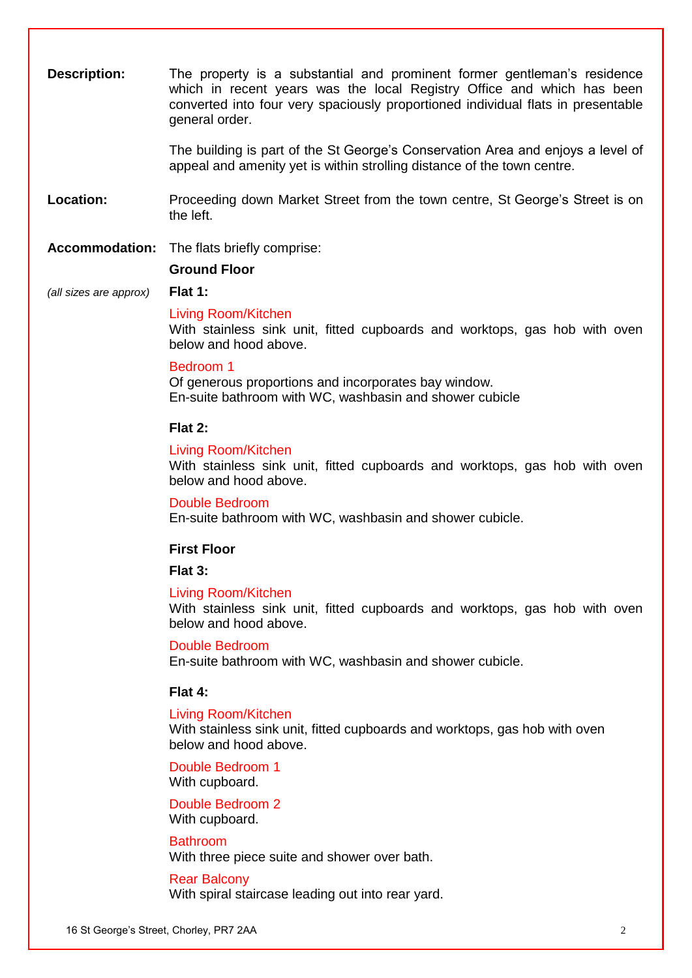| <b>Description:</b>    | The property is a substantial and prominent former gentleman's residence<br>which in recent years was the local Registry Office and which has been<br>converted into four very spaciously proportioned individual flats in presentable<br>general order. |
|------------------------|----------------------------------------------------------------------------------------------------------------------------------------------------------------------------------------------------------------------------------------------------------|
|                        | The building is part of the St George's Conservation Area and enjoys a level of<br>appeal and amenity yet is within strolling distance of the town centre.                                                                                               |
| Location:              | Proceeding down Market Street from the town centre, St George's Street is on<br>the left.                                                                                                                                                                |
|                        | <b>Accommodation:</b> The flats briefly comprise:                                                                                                                                                                                                        |
|                        | <b>Ground Floor</b>                                                                                                                                                                                                                                      |
| (all sizes are approx) | Flat 1:                                                                                                                                                                                                                                                  |
|                        | <b>Living Room/Kitchen</b><br>With stainless sink unit, fitted cupboards and worktops, gas hob with oven<br>below and hood above.                                                                                                                        |
|                        | Bedroom 1<br>Of generous proportions and incorporates bay window.<br>En-suite bathroom with WC, washbasin and shower cubicle                                                                                                                             |
|                        | Flat 2:                                                                                                                                                                                                                                                  |
|                        | <b>Living Room/Kitchen</b><br>With stainless sink unit, fitted cupboards and worktops, gas hob with oven<br>below and hood above.                                                                                                                        |
|                        | <b>Double Bedroom</b><br>En-suite bathroom with WC, washbasin and shower cubicle.                                                                                                                                                                        |
|                        | <b>First Floor</b>                                                                                                                                                                                                                                       |
|                        | Flat 3:                                                                                                                                                                                                                                                  |
|                        | Living Room/Kitchen<br>With stainless sink unit, fitted cupboards and worktops, gas hob with oven<br>below and hood above.                                                                                                                               |
|                        | <b>Double Bedroom</b><br>En-suite bathroom with WC, washbasin and shower cubicle.                                                                                                                                                                        |
|                        | Flat 4:                                                                                                                                                                                                                                                  |
|                        | <b>Living Room/Kitchen</b><br>With stainless sink unit, fitted cupboards and worktops, gas hob with oven<br>below and hood above.                                                                                                                        |
|                        | Double Bedroom 1<br>With cupboard.                                                                                                                                                                                                                       |
|                        | Double Bedroom 2<br>With cupboard.                                                                                                                                                                                                                       |
|                        | <b>Bathroom</b><br>With three piece suite and shower over bath.                                                                                                                                                                                          |
|                        | <b>Rear Balcony</b><br>With spiral staircase leading out into rear yard.                                                                                                                                                                                 |